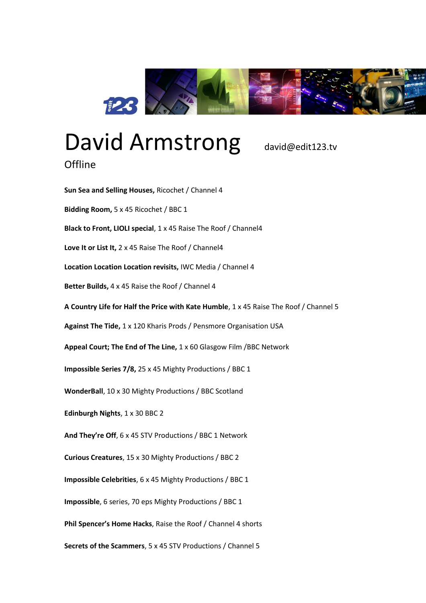

## David Armstrong david@edit123.tv

## **Offline**

**Sun Sea and Selling Houses,** Ricochet / Channel 4 **Bidding Room,** 5 x 45 Ricochet / BBC 1 **Black to Front, LIOLI special**, 1 x 45 Raise The Roof / Channel4 **Love It or List It,** 2 x 45 Raise The Roof / Channel4 **Location Location Location revisits,** IWC Media / Channel 4 **Better Builds,** 4 x 45 Raise the Roof / Channel 4 **A Country Life for Half the Price with Kate Humble**, 1 x 45 Raise The Roof / Channel 5 **Against The Tide,** 1 x 120 Kharis Prods / Pensmore Organisation USA **Appeal Court; The End of The Line,** 1 x 60 Glasgow Film /BBC Network **Impossible Series 7/8,** 25 x 45 Mighty Productions / BBC 1 **WonderBall**, 10 x 30 Mighty Productions / BBC Scotland **Edinburgh Nights**, 1 x 30 BBC 2 **And They're Off**, 6 x 45 STV Productions / BBC 1 Network **Curious Creatures**, 15 x 30 Mighty Productions / BBC 2 **Impossible Celebrities**, 6 x 45 Mighty Productions / BBC 1 **Impossible**, 6 series, 70 eps Mighty Productions / BBC 1 **Phil Spencer's Home Hacks**, Raise the Roof / Channel 4 shorts **Secrets of the Scammers**, 5 x 45 STV Productions / Channel 5